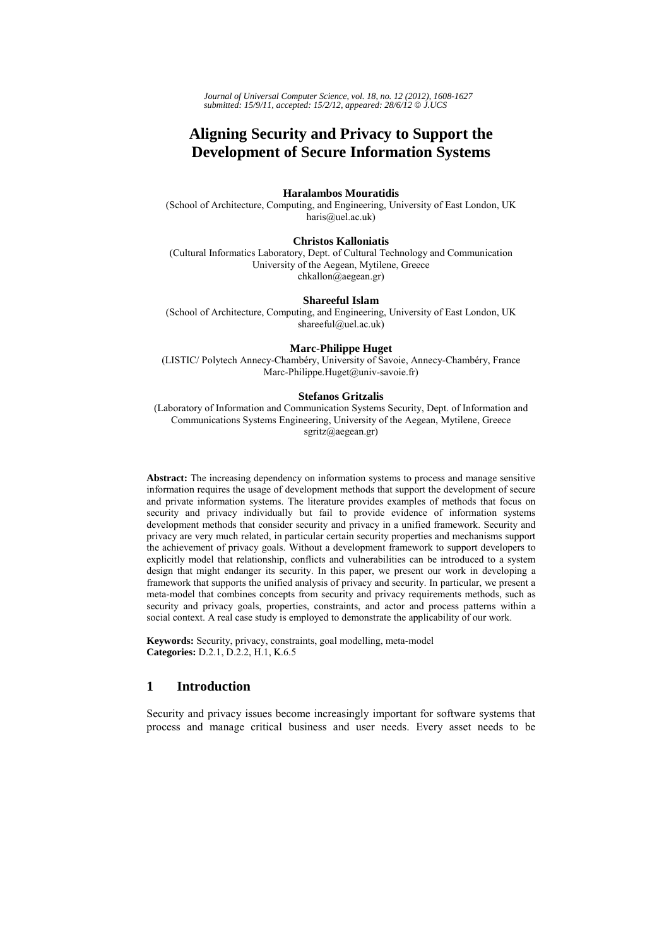*Journal of Universal Computer Science, vol. 18, no. 12 (2012), 1608-1627 submitted: 15/9/11, accepted: 15/2/12, appeared: 28/6/12* © *J.UCS*

# **Aligning Security and Privacy to Support the Development of Secure Information Systems**

## **Haralambos Mouratidis**

(School of Architecture, Computing, and Engineering, University of East London, UK haris@uel.ac.uk)

#### **Christos Kalloniatis**

(Cultural Informatics Laboratory, Dept. of Cultural Technology and Communication University of the Aegean, Mytilene, Greece chkallon@aegean.gr)

#### **Shareeful Islam**

(School of Architecture, Computing, and Engineering, University of East London, UK shareeful@uel.ac.uk)

### **Marc-Philippe Huget**

(LISTIC/ Polytech Annecy-Chambéry, University of Savoie, Annecy-Chambéry, France Marc-Philippe.Huget@univ-savoie.fr)

#### **Stefanos Gritzalis**

(Laboratory of Information and Communication Systems Security, Dept. of Information and Communications Systems Engineering, University of the Aegean, Mytilene, Greece sgritz@aegean.gr)

**Abstract:** The increasing dependency on information systems to process and manage sensitive information requires the usage of development methods that support the development of secure and private information systems. The literature provides examples of methods that focus on security and privacy individually but fail to provide evidence of information systems development methods that consider security and privacy in a unified framework. Security and privacy are very much related, in particular certain security properties and mechanisms support the achievement of privacy goals. Without a development framework to support developers to explicitly model that relationship, conflicts and vulnerabilities can be introduced to a system design that might endanger its security. In this paper, we present our work in developing a framework that supports the unified analysis of privacy and security. In particular, we present a meta-model that combines concepts from security and privacy requirements methods, such as security and privacy goals, properties, constraints, and actor and process patterns within a social context. A real case study is employed to demonstrate the applicability of our work.

**Keywords:** Security, privacy, constraints, goal modelling, meta-model **Categories:** D.2.1, D.2.2, H.1, K.6.5

## **1 Introduction**

Security and privacy issues become increasingly important for software systems that process and manage critical business and user needs. Every asset needs to be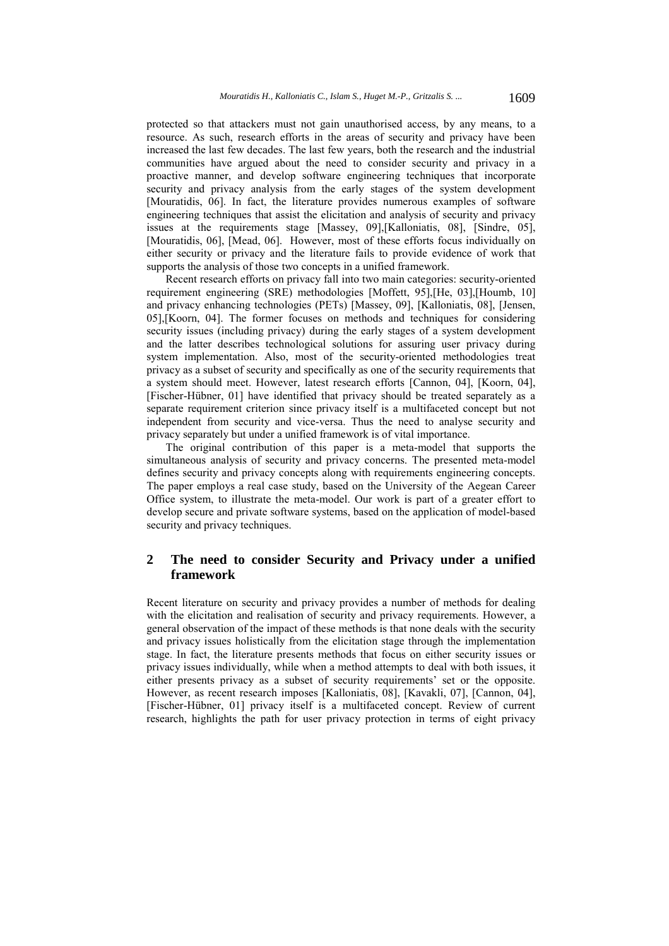protected so that attackers must not gain unauthorised access, by any means, to a resource. As such, research efforts in the areas of security and privacy have been increased the last few decades. The last few years, both the research and the industrial communities have argued about the need to consider security and privacy in a proactive manner, and develop software engineering techniques that incorporate security and privacy analysis from the early stages of the system development [Mouratidis, 06]. In fact, the literature provides numerous examples of software engineering techniques that assist the elicitation and analysis of security and privacy issues at the requirements stage [Massey, 09],[Kalloniatis, 08], [Sindre, 05], [Mouratidis, 06], [Mead, 06]. However, most of these efforts focus individually on either security or privacy and the literature fails to provide evidence of work that supports the analysis of those two concepts in a unified framework.

Recent research efforts on privacy fall into two main categories: security-oriented requirement engineering (SRE) methodologies [Moffett, 95],[He, 03],[Houmb, 10] and privacy enhancing technologies (PETs) [Massey, 09], [Kalloniatis, 08], [Jensen, 05],[Koorn, 04]. The former focuses on methods and techniques for considering security issues (including privacy) during the early stages of a system development and the latter describes technological solutions for assuring user privacy during system implementation. Also, most of the security-oriented methodologies treat privacy as a subset of security and specifically as one of the security requirements that a system should meet. However, latest research efforts [Cannon, 04], [Koorn, 04], [Fischer-Hübner, 01] have identified that privacy should be treated separately as a separate requirement criterion since privacy itself is a multifaceted concept but not independent from security and vice-versa. Thus the need to analyse security and privacy separately but under a unified framework is of vital importance.

The original contribution of this paper is a meta-model that supports the simultaneous analysis of security and privacy concerns. The presented meta-model defines security and privacy concepts along with requirements engineering concepts. The paper employs a real case study, based on the University of the Aegean Career Office system, to illustrate the meta-model. Our work is part of a greater effort to develop secure and private software systems, based on the application of model-based security and privacy techniques.

## **2 The need to consider Security and Privacy under a unified framework**

Recent literature on security and privacy provides a number of methods for dealing with the elicitation and realisation of security and privacy requirements. However, a general observation of the impact of these methods is that none deals with the security and privacy issues holistically from the elicitation stage through the implementation stage. In fact, the literature presents methods that focus on either security issues or privacy issues individually, while when a method attempts to deal with both issues, it either presents privacy as a subset of security requirements' set or the opposite. However, as recent research imposes [Kalloniatis, 08], [Kavakli, 07], [Cannon, 04], [Fischer-Hübner, 01] privacy itself is a multifaceted concept. Review of current research, highlights the path for user privacy protection in terms of eight privacy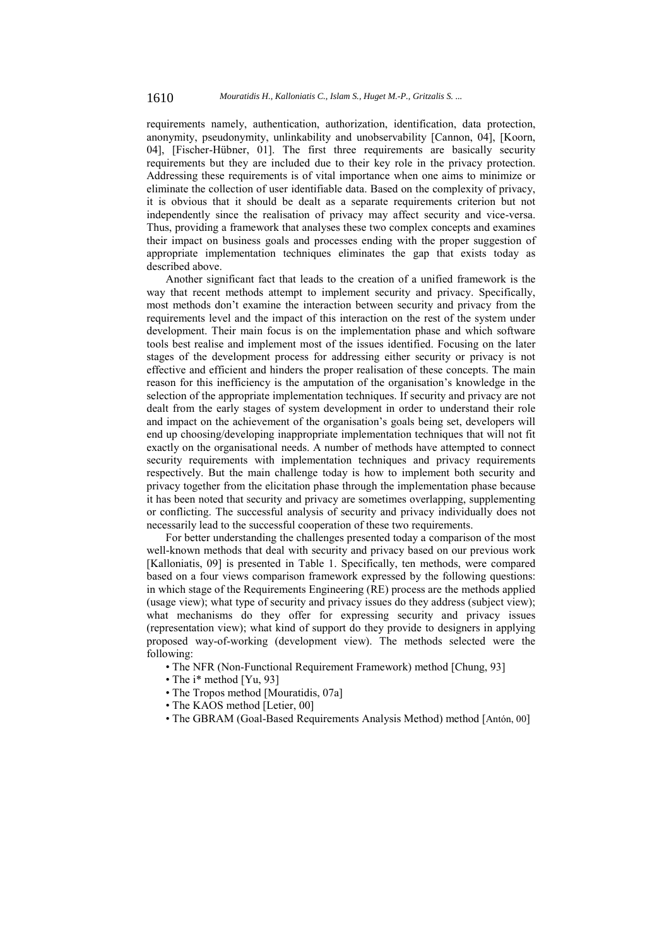requirements namely, authentication, authorization, identification, data protection, anonymity, pseudonymity, unlinkability and unobservability [Cannon, 04], [Koorn, 04], [Fischer-Hübner, 01]. The first three requirements are basically security requirements but they are included due to their key role in the privacy protection. Addressing these requirements is of vital importance when one aims to minimize or eliminate the collection of user identifiable data. Based on the complexity of privacy, it is obvious that it should be dealt as a separate requirements criterion but not independently since the realisation of privacy may affect security and vice-versa. Thus, providing a framework that analyses these two complex concepts and examines their impact on business goals and processes ending with the proper suggestion of appropriate implementation techniques eliminates the gap that exists today as described above.

Another significant fact that leads to the creation of a unified framework is the way that recent methods attempt to implement security and privacy. Specifically, most methods don't examine the interaction between security and privacy from the requirements level and the impact of this interaction on the rest of the system under development. Their main focus is on the implementation phase and which software tools best realise and implement most of the issues identified. Focusing on the later stages of the development process for addressing either security or privacy is not effective and efficient and hinders the proper realisation of these concepts. The main reason for this inefficiency is the amputation of the organisation's knowledge in the selection of the appropriate implementation techniques. If security and privacy are not dealt from the early stages of system development in order to understand their role and impact on the achievement of the organisation's goals being set, developers will end up choosing/developing inappropriate implementation techniques that will not fit exactly on the organisational needs. A number of methods have attempted to connect security requirements with implementation techniques and privacy requirements respectively. But the main challenge today is how to implement both security and privacy together from the elicitation phase through the implementation phase because it has been noted that security and privacy are sometimes overlapping, supplementing or conflicting. The successful analysis of security and privacy individually does not necessarily lead to the successful cooperation of these two requirements.

For better understanding the challenges presented today a comparison of the most well-known methods that deal with security and privacy based on our previous work [Kalloniatis, 09] is presented in Table 1. Specifically, ten methods, were compared based on a four views comparison framework expressed by the following questions: in which stage of the Requirements Engineering (RE) process are the methods applied (usage view); what type of security and privacy issues do they address (subject view); what mechanisms do they offer for expressing security and privacy issues (representation view); what kind of support do they provide to designers in applying proposed way-of-working (development view). The methods selected were the following:

• The NFR (Non-Functional Requirement Framework) method [Chung, 93]

- The i\* method [Yu, 93]
- The Tropos method [Mouratidis, 07a]
- The KAOS method [Letier, 00]
- The GBRAM (Goal-Based Requirements Analysis Method) method [Antόn, 00]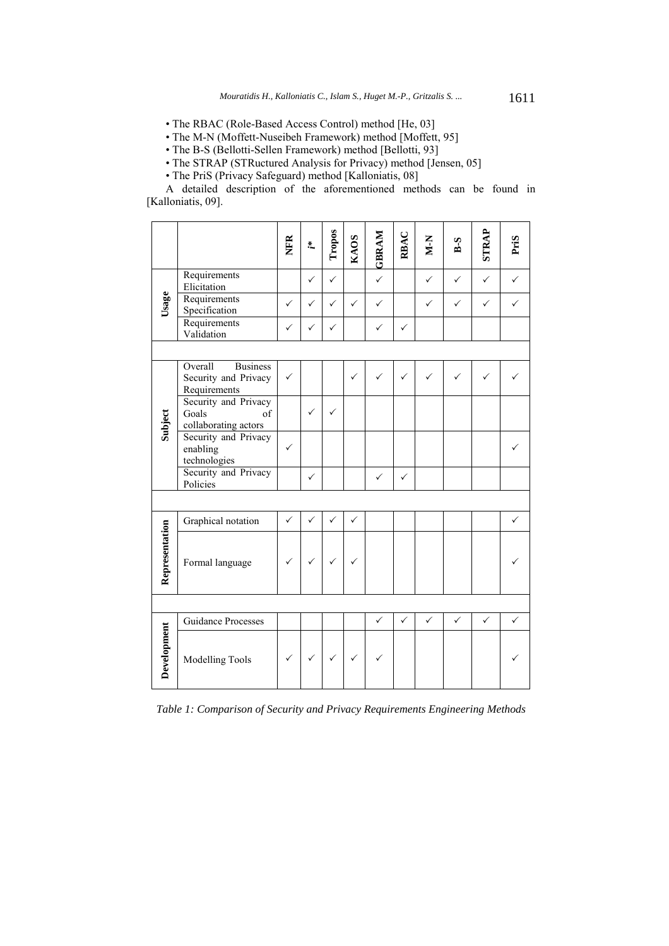• The RBAC (Role-Based Access Control) method [He, 03]

• The M-N (Moffett-Nuseibeh Framework) method [Moffett, 95]

• The B-S (Bellotti-Sellen Framework) method [Bellotti, 93]

• The STRAP (STRuctured Analysis for Privacy) method [Jensen, 05]

• The PriS (Privacy Safeguard) method [Kalloniatis, 08]

A detailed description of the aforementioned methods can be found in [Kalloniatis, 09].

|                |                                                                    | <b>NFR</b>   | $\ddot{x}$   | Tropos       | KAOS         | GBRAM        | RBAC         | N-N          | $B-S$        | STRAP        | PriS         |
|----------------|--------------------------------------------------------------------|--------------|--------------|--------------|--------------|--------------|--------------|--------------|--------------|--------------|--------------|
| Usage          | Requirements<br>Elicitation                                        |              | $\checkmark$ | $\checkmark$ |              | $\checkmark$ |              | $\checkmark$ | $\checkmark$ | $\checkmark$ |              |
|                | Requirements<br>Specification                                      | $\checkmark$ | ✓            | ✓            | $\checkmark$ | $\checkmark$ |              | ✓            | $\checkmark$ | ✓            |              |
|                | Requirements<br>Validation                                         | ✓            | $\checkmark$ | $\checkmark$ |              | ✓            | ✓            |              |              |              |              |
|                |                                                                    |              |              |              |              |              |              |              |              |              |              |
| Subject        | Overall<br><b>Business</b><br>Security and Privacy<br>Requirements | ✓            |              |              | ✓            |              | $\checkmark$ |              |              |              |              |
|                | Security and Privacy<br>Goals<br>of<br>collaborating actors        |              | ✓            | ✓            |              |              |              |              |              |              |              |
|                | Security and Privacy<br>enabling<br>technologies                   | $\checkmark$ |              |              |              |              |              |              |              |              |              |
|                | Security and Privacy<br>Policies                                   |              | ✓            |              |              | $\checkmark$ | ✓            |              |              |              |              |
|                |                                                                    |              |              |              |              |              |              |              |              |              |              |
|                | Graphical notation                                                 | $\checkmark$ | $\checkmark$ | $\checkmark$ | $\checkmark$ |              |              |              |              |              | ✓            |
| Representation | Formal language                                                    | ✓            | ✓            | $\checkmark$ |              |              |              |              |              |              |              |
|                |                                                                    |              |              |              |              |              |              |              |              |              |              |
| Development    | <b>Guidance Processes</b>                                          |              |              |              |              | $\checkmark$ | $\checkmark$ | $\checkmark$ | $\checkmark$ | $\checkmark$ | $\checkmark$ |
|                | Modelling Tools                                                    | ✓            | $\checkmark$ | $\checkmark$ | ✓            |              |              |              |              |              |              |

*Table 1: Comparison of Security and Privacy Requirements Engineering Methods*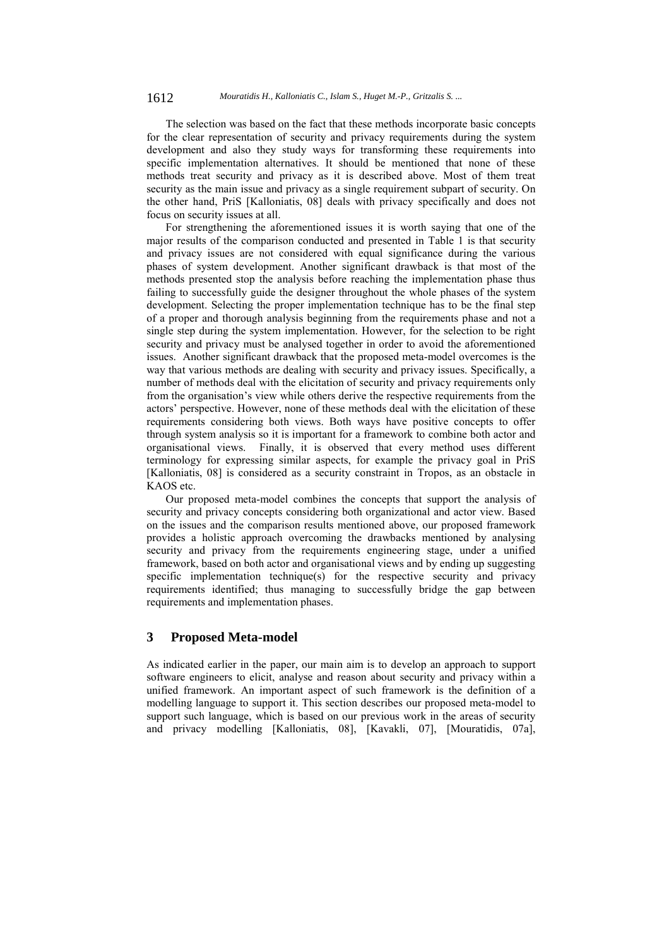The selection was based on the fact that these methods incorporate basic concepts for the clear representation of security and privacy requirements during the system development and also they study ways for transforming these requirements into specific implementation alternatives. It should be mentioned that none of these methods treat security and privacy as it is described above. Most of them treat security as the main issue and privacy as a single requirement subpart of security. On the other hand, PriS [Kalloniatis, 08] deals with privacy specifically and does not focus on security issues at all.

For strengthening the aforementioned issues it is worth saying that one of the major results of the comparison conducted and presented in Table 1 is that security and privacy issues are not considered with equal significance during the various phases of system development. Another significant drawback is that most of the methods presented stop the analysis before reaching the implementation phase thus failing to successfully guide the designer throughout the whole phases of the system development. Selecting the proper implementation technique has to be the final step of a proper and thorough analysis beginning from the requirements phase and not a single step during the system implementation. However, for the selection to be right security and privacy must be analysed together in order to avoid the aforementioned issues. Another significant drawback that the proposed meta-model overcomes is the way that various methods are dealing with security and privacy issues. Specifically, a number of methods deal with the elicitation of security and privacy requirements only from the organisation's view while others derive the respective requirements from the actors' perspective. However, none of these methods deal with the elicitation of these requirements considering both views. Both ways have positive concepts to offer through system analysis so it is important for a framework to combine both actor and organisational views. Finally, it is observed that every method uses different terminology for expressing similar aspects, for example the privacy goal in PriS [Kalloniatis, 08] is considered as a security constraint in Tropos, as an obstacle in KAOS etc.

Our proposed meta-model combines the concepts that support the analysis of security and privacy concepts considering both organizational and actor view. Based on the issues and the comparison results mentioned above, our proposed framework provides a holistic approach overcoming the drawbacks mentioned by analysing security and privacy from the requirements engineering stage, under a unified framework, based on both actor and organisational views and by ending up suggesting specific implementation technique(s) for the respective security and privacy requirements identified; thus managing to successfully bridge the gap between requirements and implementation phases.

## **3 Proposed Meta-model**

As indicated earlier in the paper, our main aim is to develop an approach to support software engineers to elicit, analyse and reason about security and privacy within a unified framework. An important aspect of such framework is the definition of a modelling language to support it. This section describes our proposed meta-model to support such language, which is based on our previous work in the areas of security and privacy modelling [Kalloniatis, 08], [Kavakli, 07], [Mouratidis, 07a],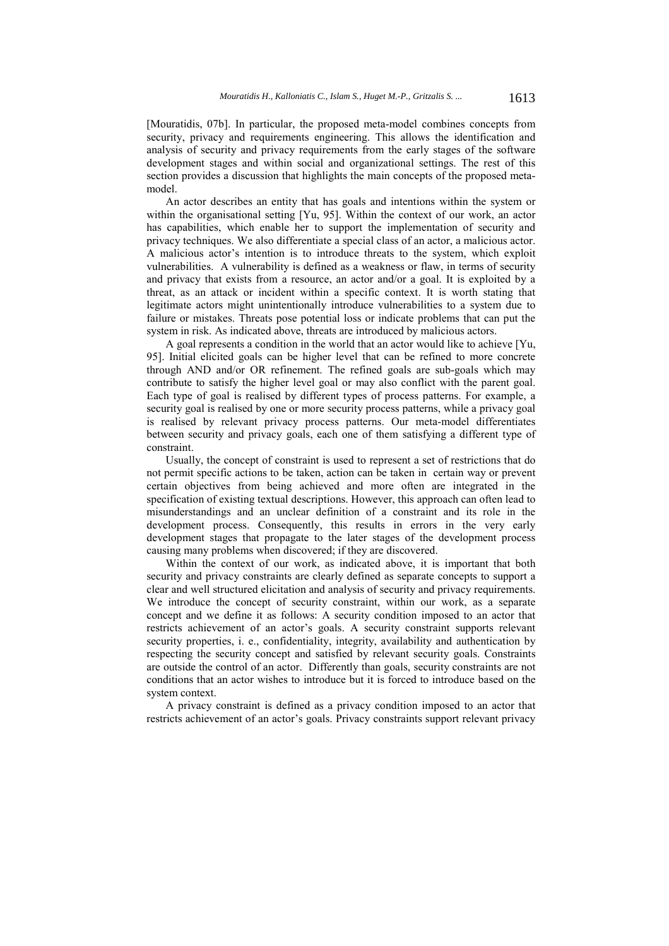[Mouratidis, 07b]. In particular, the proposed meta-model combines concepts from security, privacy and requirements engineering. This allows the identification and analysis of security and privacy requirements from the early stages of the software development stages and within social and organizational settings. The rest of this section provides a discussion that highlights the main concepts of the proposed metamodel.

An actor describes an entity that has goals and intentions within the system or within the organisational setting [Yu, 95]. Within the context of our work, an actor has capabilities, which enable her to support the implementation of security and privacy techniques. We also differentiate a special class of an actor, a malicious actor. A malicious actor's intention is to introduce threats to the system, which exploit vulnerabilities. A vulnerability is defined as a weakness or flaw, in terms of security and privacy that exists from a resource, an actor and/or a goal. It is exploited by a threat, as an attack or incident within a specific context. It is worth stating that legitimate actors might unintentionally introduce vulnerabilities to a system due to failure or mistakes. Threats pose potential loss or indicate problems that can put the system in risk. As indicated above, threats are introduced by malicious actors.

A goal represents a condition in the world that an actor would like to achieve [Yu, 95]. Initial elicited goals can be higher level that can be refined to more concrete through AND and/or OR refinement. The refined goals are sub-goals which may contribute to satisfy the higher level goal or may also conflict with the parent goal. Each type of goal is realised by different types of process patterns. For example, a security goal is realised by one or more security process patterns, while a privacy goal is realised by relevant privacy process patterns. Our meta-model differentiates between security and privacy goals, each one of them satisfying a different type of constraint.

Usually, the concept of constraint is used to represent a set of restrictions that do not permit specific actions to be taken, action can be taken in certain way or prevent certain objectives from being achieved and more often are integrated in the specification of existing textual descriptions. However, this approach can often lead to misunderstandings and an unclear definition of a constraint and its role in the development process. Consequently, this results in errors in the very early development stages that propagate to the later stages of the development process causing many problems when discovered; if they are discovered.

Within the context of our work, as indicated above, it is important that both security and privacy constraints are clearly defined as separate concepts to support a clear and well structured elicitation and analysis of security and privacy requirements. We introduce the concept of security constraint, within our work, as a separate concept and we define it as follows: A security condition imposed to an actor that restricts achievement of an actor's goals. A security constraint supports relevant security properties, i. e., confidentiality, integrity, availability and authentication by respecting the security concept and satisfied by relevant security goals. Constraints are outside the control of an actor. Differently than goals, security constraints are not conditions that an actor wishes to introduce but it is forced to introduce based on the system context.

A privacy constraint is defined as a privacy condition imposed to an actor that restricts achievement of an actor's goals. Privacy constraints support relevant privacy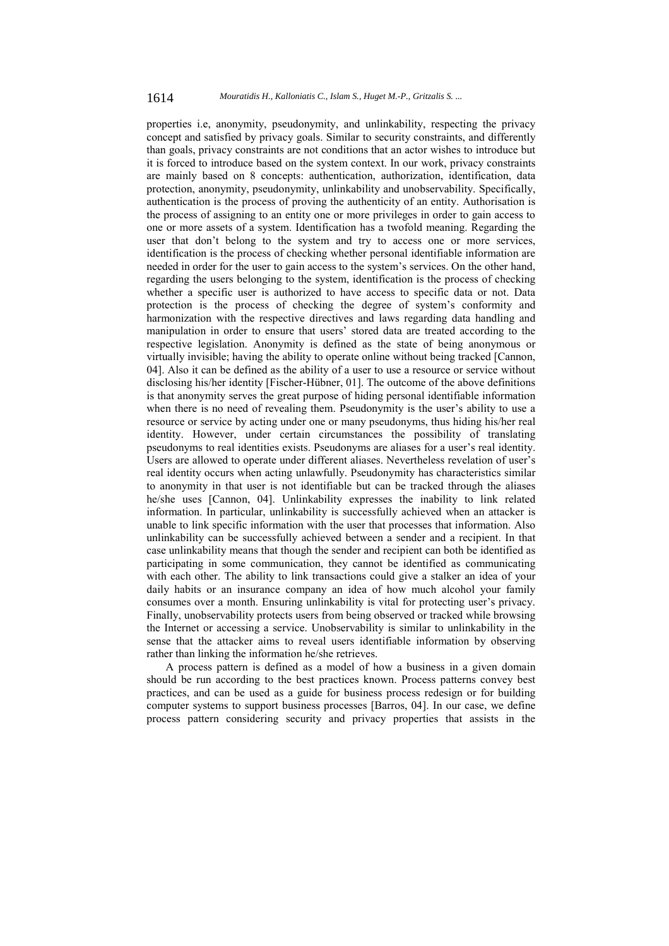properties i.e, anonymity, pseudonymity, and unlinkability, respecting the privacy concept and satisfied by privacy goals. Similar to security constraints, and differently than goals, privacy constraints are not conditions that an actor wishes to introduce but it is forced to introduce based on the system context. In our work, privacy constraints are mainly based on 8 concepts: authentication, authorization, identification, data protection, anonymity, pseudonymity, unlinkability and unobservability. Specifically, authentication is the process of proving the authenticity of an entity. Authorisation is the process of assigning to an entity one or more privileges in order to gain access to one or more assets of a system. Identification has a twofold meaning. Regarding the user that don't belong to the system and try to access one or more services, identification is the process of checking whether personal identifiable information are needed in order for the user to gain access to the system's services. On the other hand, regarding the users belonging to the system, identification is the process of checking whether a specific user is authorized to have access to specific data or not. Data protection is the process of checking the degree of system's conformity and harmonization with the respective directives and laws regarding data handling and manipulation in order to ensure that users' stored data are treated according to the respective legislation. Anonymity is defined as the state of being anonymous or virtually invisible; having the ability to operate online without being tracked [Cannon, 04]. Also it can be defined as the ability of a user to use a resource or service without disclosing his/her identity [Fischer-Hübner, 01]. The outcome of the above definitions is that anonymity serves the great purpose of hiding personal identifiable information when there is no need of revealing them. Pseudonymity is the user's ability to use a resource or service by acting under one or many pseudonyms, thus hiding his/her real identity. However, under certain circumstances the possibility of translating pseudonyms to real identities exists. Pseudonyms are aliases for a user's real identity. Users are allowed to operate under different aliases. Nevertheless revelation of user's real identity occurs when acting unlawfully. Pseudonymity has characteristics similar to anonymity in that user is not identifiable but can be tracked through the aliases he/she uses [Cannon, 04]. Unlinkability expresses the inability to link related information. In particular, unlinkability is successfully achieved when an attacker is unable to link specific information with the user that processes that information. Also unlinkability can be successfully achieved between a sender and a recipient. In that case unlinkability means that though the sender and recipient can both be identified as participating in some communication, they cannot be identified as communicating with each other. The ability to link transactions could give a stalker an idea of your daily habits or an insurance company an idea of how much alcohol your family consumes over a month. Ensuring unlinkability is vital for protecting user's privacy. Finally, unobservability protects users from being observed or tracked while browsing the Internet or accessing a service. Unobservability is similar to unlinkability in the sense that the attacker aims to reveal users identifiable information by observing rather than linking the information he/she retrieves.

A process pattern is defined as a model of how a business in a given domain should be run according to the best practices known. Process patterns convey best practices, and can be used as a guide for business process redesign or for building computer systems to support business processes [Barros, 04]. In our case, we define process pattern considering security and privacy properties that assists in the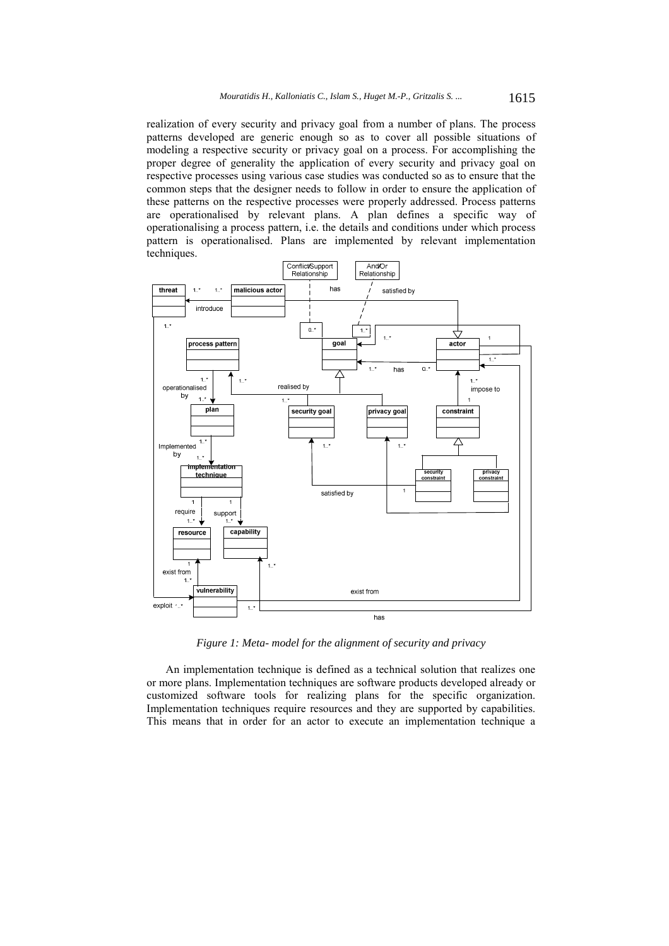realization of every security and privacy goal from a number of plans. The process patterns developed are generic enough so as to cover all possible situations of modeling a respective security or privacy goal on a process. For accomplishing the proper degree of generality the application of every security and privacy goal on respective processes using various case studies was conducted so as to ensure that the common steps that the designer needs to follow in order to ensure the application of these patterns on the respective processes were properly addressed. Process patterns are operationalised by relevant plans. A plan defines a specific way of operationalising a process pattern, i.e. the details and conditions under which process pattern is operationalised. Plans are implemented by relevant implementation techniques.



*Figure 1: Meta- model for the alignment of security and privacy* 

An implementation technique is defined as a technical solution that realizes one or more plans. Implementation techniques are software products developed already or customized software tools for realizing plans for the specific organization. Implementation techniques require resources and they are supported by capabilities. This means that in order for an actor to execute an implementation technique a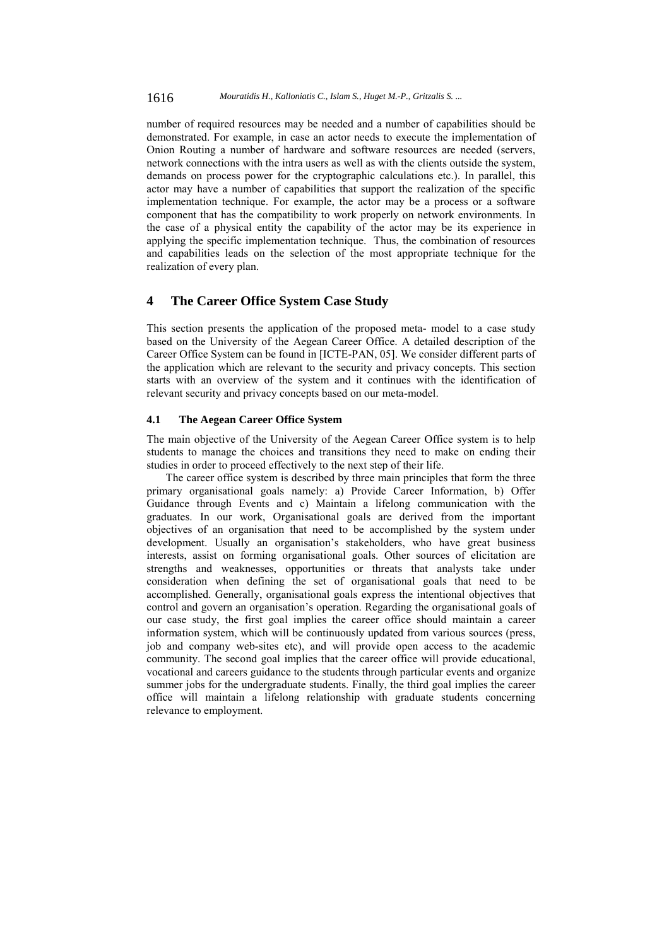number of required resources may be needed and a number of capabilities should be demonstrated. For example, in case an actor needs to execute the implementation of Onion Routing a number of hardware and software resources are needed (servers, network connections with the intra users as well as with the clients outside the system, demands on process power for the cryptographic calculations etc.). In parallel, this actor may have a number of capabilities that support the realization of the specific implementation technique. For example, the actor may be a process or a software component that has the compatibility to work properly on network environments. In the case of a physical entity the capability of the actor may be its experience in applying the specific implementation technique. Thus, the combination of resources and capabilities leads on the selection of the most appropriate technique for the realization of every plan.

## **4 The Career Office System Case Study**

This section presents the application of the proposed meta- model to a case study based on the University of the Aegean Career Office. A detailed description of the Career Office System can be found in [ICTE-PAN, 05]. We consider different parts of the application which are relevant to the security and privacy concepts. This section starts with an overview of the system and it continues with the identification of relevant security and privacy concepts based on our meta-model.

## **4.1 The Aegean Career Office System**

The main objective of the University of the Aegean Career Office system is to help students to manage the choices and transitions they need to make on ending their studies in order to proceed effectively to the next step of their life.

The career office system is described by three main principles that form the three primary organisational goals namely: a) Provide Career Information, b) Offer Guidance through Events and c) Maintain a lifelong communication with the graduates. In our work, Organisational goals are derived from the important objectives of an organisation that need to be accomplished by the system under development. Usually an organisation's stakeholders, who have great business interests, assist on forming organisational goals. Other sources of elicitation are strengths and weaknesses, opportunities or threats that analysts take under consideration when defining the set of organisational goals that need to be accomplished. Generally, organisational goals express the intentional objectives that control and govern an organisation's operation. Regarding the organisational goals of our case study, the first goal implies the career office should maintain a career information system, which will be continuously updated from various sources (press, job and company web-sites etc), and will provide open access to the academic community. The second goal implies that the career office will provide educational, vocational and careers guidance to the students through particular events and organize summer jobs for the undergraduate students. Finally, the third goal implies the career office will maintain a lifelong relationship with graduate students concerning relevance to employment.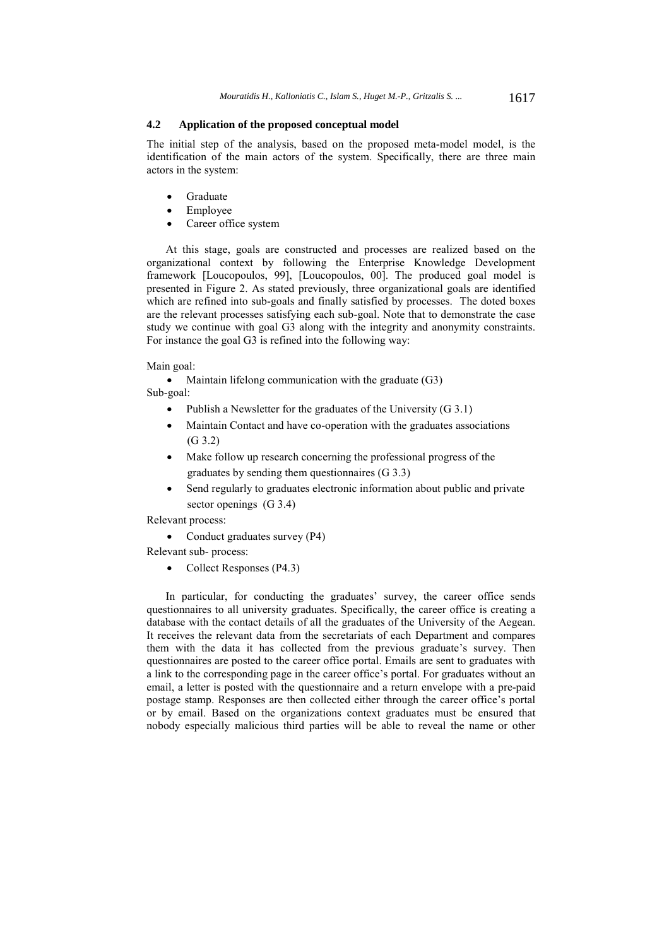## **4.2 Application of the proposed conceptual model**

The initial step of the analysis, based on the proposed meta-model model, is the identification of the main actors of the system. Specifically, there are three main actors in the system:

- Graduate
- Employee
- Career office system

At this stage, goals are constructed and processes are realized based on the organizational context by following the Enterprise Knowledge Development framework [Loucopoulos, 99], [Loucopoulos, 00]. The produced goal model is presented in Figure 2. As stated previously, three organizational goals are identified which are refined into sub-goals and finally satisfied by processes. The doted boxes are the relevant processes satisfying each sub-goal. Note that to demonstrate the case study we continue with goal G3 along with the integrity and anonymity constraints. For instance the goal G3 is refined into the following way:

#### Main goal:

• Maintain lifelong communication with the graduate (G3) Sub-goal:

- Publish a Newsletter for the graduates of the University (G 3.1)
- Maintain Contact and have co-operation with the graduates associations (G 3.2)
- Make follow up research concerning the professional progress of the graduates by sending them questionnaires (G 3.3)
- Send regularly to graduates electronic information about public and private sector openings (G 3.4)

Relevant process:

Conduct graduates survey (P4)

Relevant sub- process:

• Collect Responses (P4.3)

In particular, for conducting the graduates' survey, the career office sends questionnaires to all university graduates. Specifically, the career office is creating a database with the contact details of all the graduates of the University of the Aegean. It receives the relevant data from the secretariats of each Department and compares them with the data it has collected from the previous graduate's survey. Then questionnaires are posted to the career office portal. Emails are sent to graduates with a link to the corresponding page in the career office's portal. For graduates without an email, a letter is posted with the questionnaire and a return envelope with a pre-paid postage stamp. Responses are then collected either through the career office's portal or by email. Based on the organizations context graduates must be ensured that nobody especially malicious third parties will be able to reveal the name or other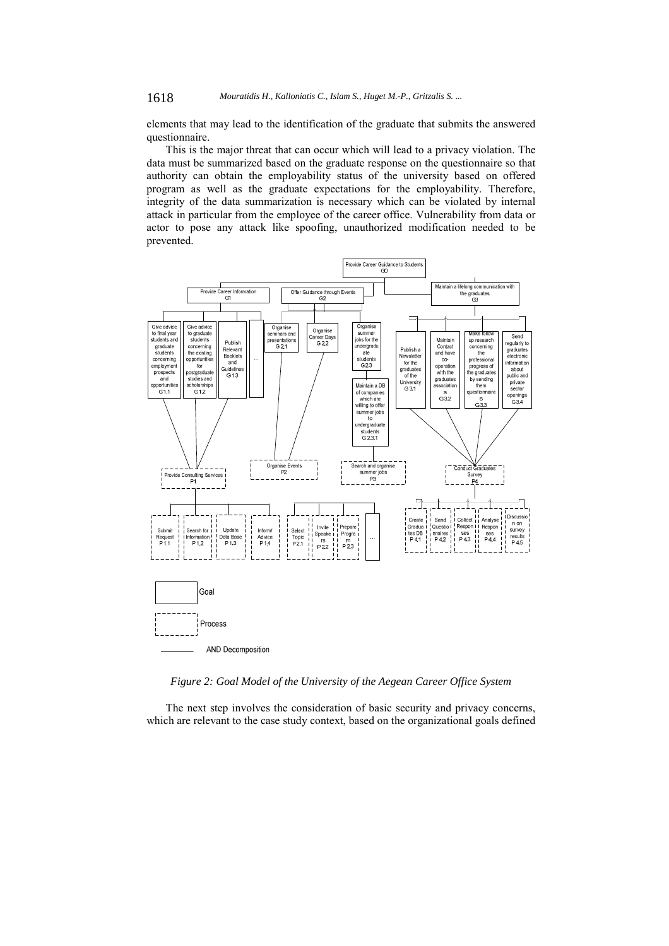elements that may lead to the identification of the graduate that submits the answered questionnaire.

This is the major threat that can occur which will lead to a privacy violation. The data must be summarized based on the graduate response on the questionnaire so that authority can obtain the employability status of the university based on offered program as well as the graduate expectations for the employability. Therefore, integrity of the data summarization is necessary which can be violated by internal attack in particular from the employee of the career office. Vulnerability from data or actor to pose any attack like spoofing, unauthorized modification needed to be prevented.



*Figure 2: Goal Model of the University of the Aegean Career Office System* 

The next step involves the consideration of basic security and privacy concerns, which are relevant to the case study context, based on the organizational goals defined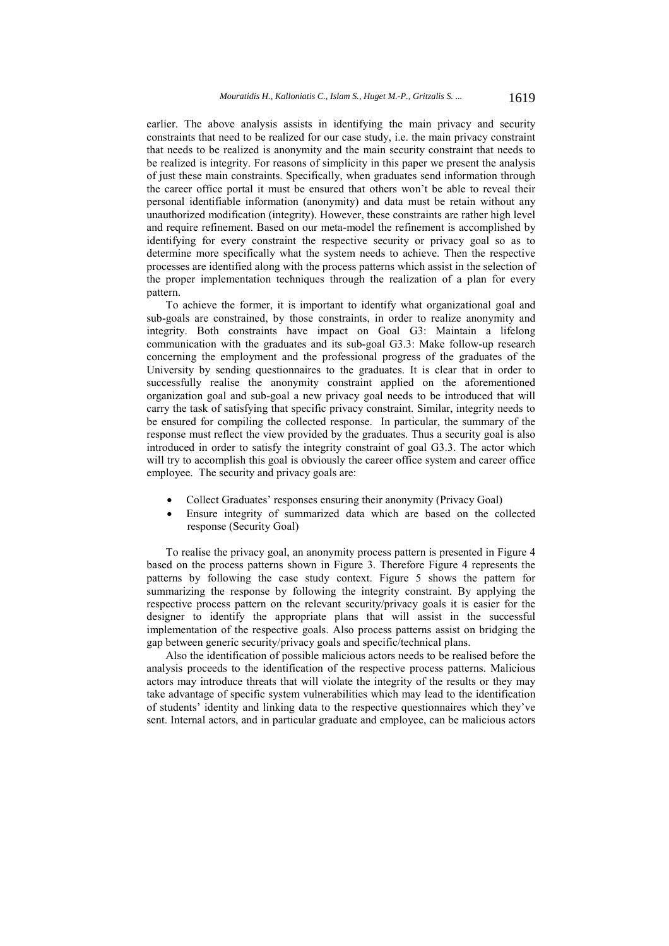earlier. The above analysis assists in identifying the main privacy and security constraints that need to be realized for our case study, i.e. the main privacy constraint that needs to be realized is anonymity and the main security constraint that needs to be realized is integrity. For reasons of simplicity in this paper we present the analysis of just these main constraints. Specifically, when graduates send information through the career office portal it must be ensured that others won't be able to reveal their personal identifiable information (anonymity) and data must be retain without any unauthorized modification (integrity). However, these constraints are rather high level and require refinement. Based on our meta-model the refinement is accomplished by identifying for every constraint the respective security or privacy goal so as to determine more specifically what the system needs to achieve. Then the respective processes are identified along with the process patterns which assist in the selection of the proper implementation techniques through the realization of a plan for every pattern.

To achieve the former, it is important to identify what organizational goal and sub-goals are constrained, by those constraints, in order to realize anonymity and integrity. Both constraints have impact on Goal G3: Maintain a lifelong communication with the graduates and its sub-goal G3.3: Make follow-up research concerning the employment and the professional progress of the graduates of the University by sending questionnaires to the graduates. It is clear that in order to successfully realise the anonymity constraint applied on the aforementioned organization goal and sub-goal a new privacy goal needs to be introduced that will carry the task of satisfying that specific privacy constraint. Similar, integrity needs to be ensured for compiling the collected response. In particular, the summary of the response must reflect the view provided by the graduates. Thus a security goal is also introduced in order to satisfy the integrity constraint of goal G3.3. The actor which will try to accomplish this goal is obviously the career office system and career office employee. The security and privacy goals are:

- Collect Graduates' responses ensuring their anonymity (Privacy Goal)
- Ensure integrity of summarized data which are based on the collected response (Security Goal)

To realise the privacy goal, an anonymity process pattern is presented in Figure 4 based on the process patterns shown in Figure 3. Therefore Figure 4 represents the patterns by following the case study context. Figure 5 shows the pattern for summarizing the response by following the integrity constraint. By applying the respective process pattern on the relevant security/privacy goals it is easier for the designer to identify the appropriate plans that will assist in the successful implementation of the respective goals. Also process patterns assist on bridging the gap between generic security/privacy goals and specific/technical plans.

Also the identification of possible malicious actors needs to be realised before the analysis proceeds to the identification of the respective process patterns. Malicious actors may introduce threats that will violate the integrity of the results or they may take advantage of specific system vulnerabilities which may lead to the identification of students' identity and linking data to the respective questionnaires which they've sent. Internal actors, and in particular graduate and employee, can be malicious actors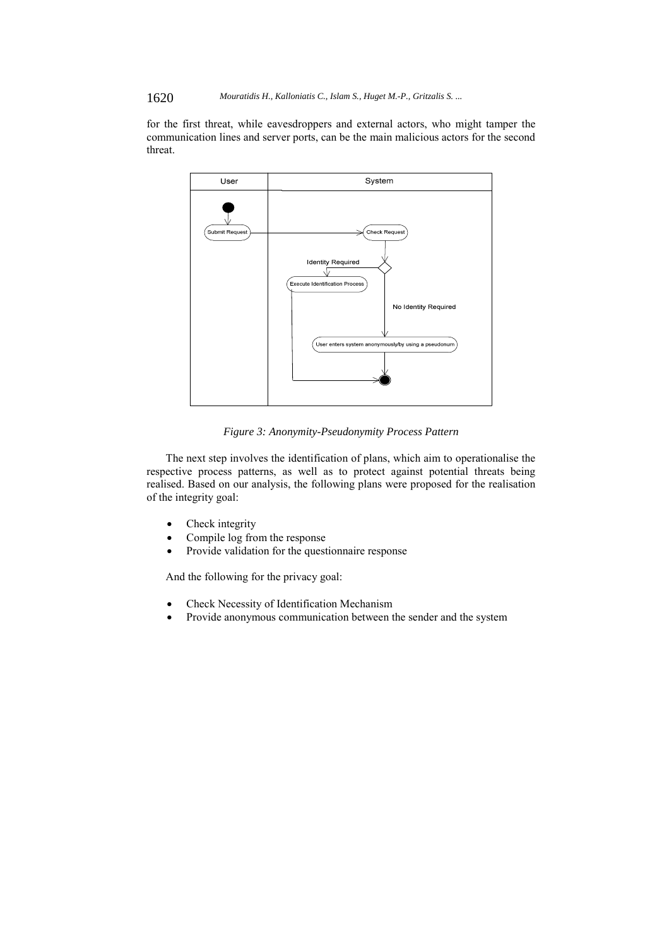1620 *Mouratidis H., Kalloniatis C., Islam S., Huget M.-P., Gritzalis S. ...*

for the first threat, while eavesdroppers and external actors, who might tamper the communication lines and server ports, can be the main malicious actors for the second threat.



*Figure 3: Anonymity-Pseudonymity Process Pattern* 

The next step involves the identification of plans, which aim to operationalise the respective process patterns, as well as to protect against potential threats being realised. Based on our analysis, the following plans were proposed for the realisation of the integrity goal:

- Check integrity
- Compile log from the response
- Provide validation for the questionnaire response

And the following for the privacy goal:

- Check Necessity of Identification Mechanism
- Provide anonymous communication between the sender and the system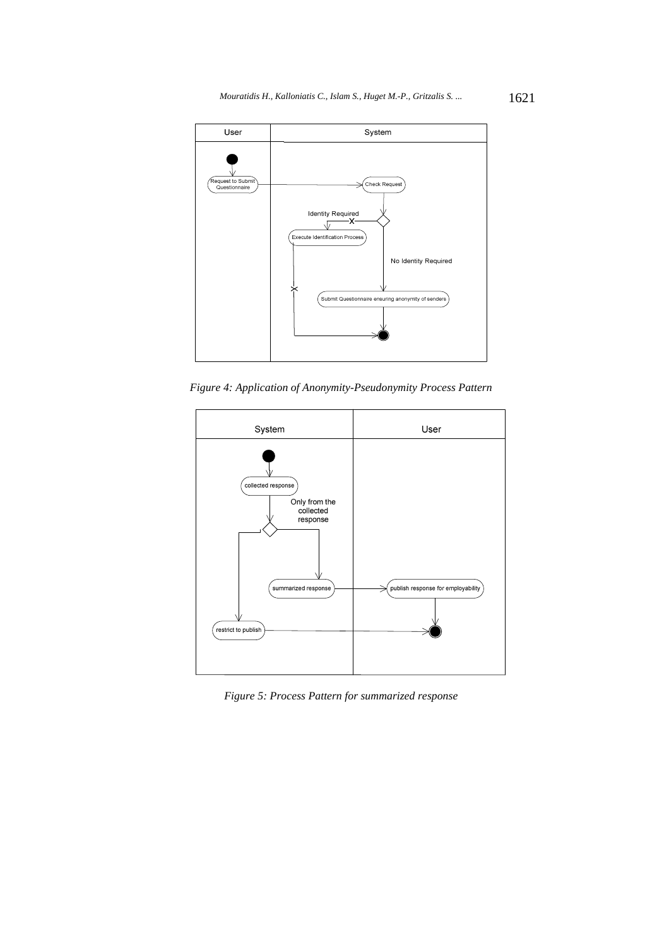

*Figure 4: Application of Anonymity-Pseudonymity Process Pattern* 



*Figure 5: Process Pattern for summarized response*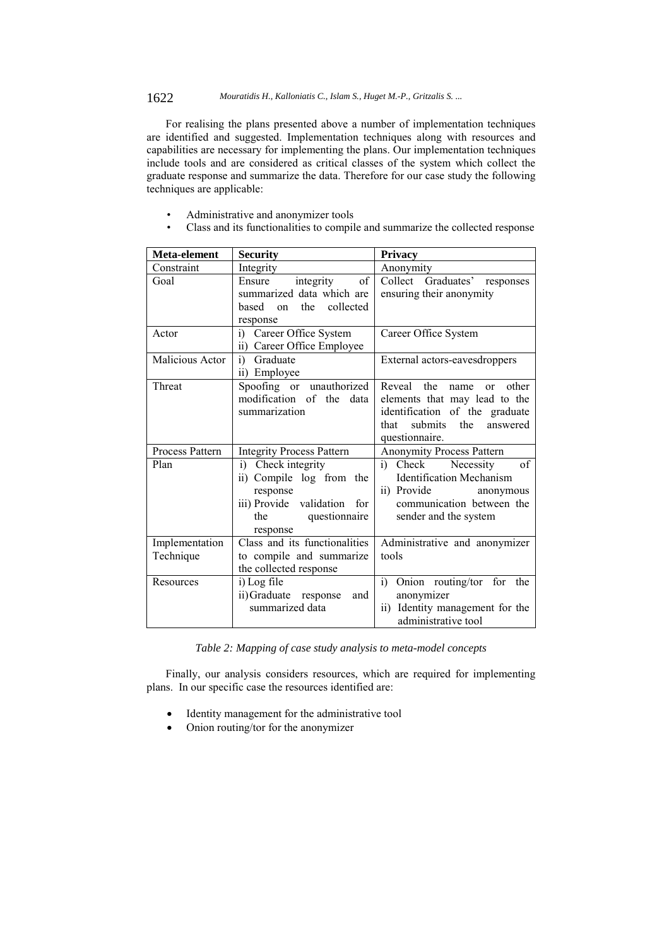## 1622 *Mouratidis H., Kalloniatis C., Islam S., Huget M.-P., Gritzalis S. ...*

For realising the plans presented above a number of implementation techniques are identified and suggested. Implementation techniques along with resources and capabilities are necessary for implementing the plans. Our implementation techniques include tools and are considered as critical classes of the system which collect the graduate response and summarize the data. Therefore for our case study the following techniques are applicable:

- Administrative and anonymizer tools
- Class and its functionalities to compile and summarize the collected response

| Meta-element    | <b>Security</b>                                                                                                                  | Privacy                                                                                                                                                               |  |  |  |  |  |
|-----------------|----------------------------------------------------------------------------------------------------------------------------------|-----------------------------------------------------------------------------------------------------------------------------------------------------------------------|--|--|--|--|--|
| Constraint      | Integrity                                                                                                                        | Anonymity                                                                                                                                                             |  |  |  |  |  |
| Goal            | integrity<br>of<br>Ensure<br>summarized data which are<br>based<br>collected<br>the<br>on<br>response                            | Collect Graduates' responses<br>ensuring their anonymity                                                                                                              |  |  |  |  |  |
| Actor           | i) Career Office System<br>ii) Career Office Employee                                                                            | Career Office System                                                                                                                                                  |  |  |  |  |  |
| Malicious Actor | Graduate<br>i<br>ii) Employee                                                                                                    | External actors-eavesdroppers                                                                                                                                         |  |  |  |  |  |
| Threat          | Spoofing or unauthorized<br>modification of the data<br>summarization                                                            | Reveal<br>the<br>other<br>name<br>$\alpha$<br>elements that may lead to the<br>identification of the graduate<br>submits<br>the<br>that<br>answered<br>questionnaire. |  |  |  |  |  |
| Process Pattern | <b>Integrity Process Pattern</b>                                                                                                 | Anonymity Process Pattern                                                                                                                                             |  |  |  |  |  |
| Plan            | Check integrity<br>i)<br>ii) Compile log from the<br>response<br>iii) Provide validation for<br>questionnaire<br>the<br>response | of<br>Check Necessity<br>i)<br><b>Identification Mechanism</b><br>ii) Provide<br>anonymous<br>communication between the<br>sender and the system                      |  |  |  |  |  |
| Implementation  | Class and its functionalities                                                                                                    | Administrative and anonymizer                                                                                                                                         |  |  |  |  |  |
| Technique       | to compile and summarize<br>the collected response                                                                               | tools                                                                                                                                                                 |  |  |  |  |  |
| Resources       | i) Log file<br>ii) Graduate response<br>and<br>summarized data                                                                   | i)<br>Onion routing/tor for<br>the<br>anonymizer<br>Identity management for the<br>ii)<br>administrative tool                                                         |  |  |  |  |  |

*Table 2: Mapping of case study analysis to meta-model concepts* 

Finally, our analysis considers resources, which are required for implementing plans. In our specific case the resources identified are:

- Identity management for the administrative tool
- Onion routing/tor for the anonymizer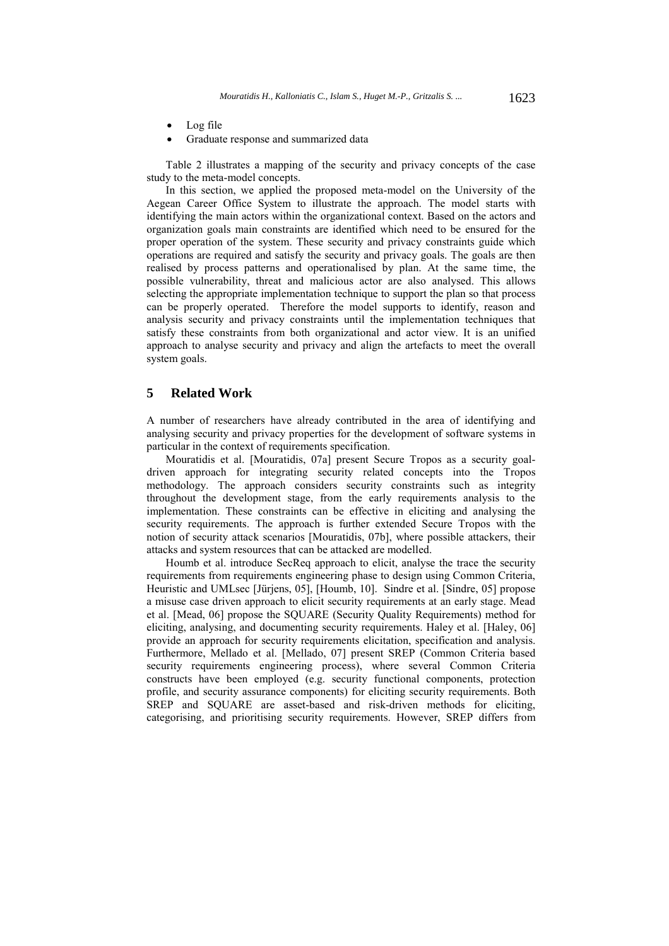- Log file
- Graduate response and summarized data

Table 2 illustrates a mapping of the security and privacy concepts of the case study to the meta-model concepts.

In this section, we applied the proposed meta-model on the University of the Aegean Career Office System to illustrate the approach. The model starts with identifying the main actors within the organizational context. Based on the actors and organization goals main constraints are identified which need to be ensured for the proper operation of the system. These security and privacy constraints guide which operations are required and satisfy the security and privacy goals. The goals are then realised by process patterns and operationalised by plan. At the same time, the possible vulnerability, threat and malicious actor are also analysed. This allows selecting the appropriate implementation technique to support the plan so that process can be properly operated. Therefore the model supports to identify, reason and analysis security and privacy constraints until the implementation techniques that satisfy these constraints from both organizational and actor view. It is an unified approach to analyse security and privacy and align the artefacts to meet the overall system goals.

## **5 Related Work**

A number of researchers have already contributed in the area of identifying and analysing security and privacy properties for the development of software systems in particular in the context of requirements specification.

Mouratidis et al. [Mouratidis, 07a] present Secure Tropos as a security goaldriven approach for integrating security related concepts into the Tropos methodology. The approach considers security constraints such as integrity throughout the development stage, from the early requirements analysis to the implementation. These constraints can be effective in eliciting and analysing the security requirements. The approach is further extended Secure Tropos with the notion of security attack scenarios [Mouratidis, 07b], where possible attackers, their attacks and system resources that can be attacked are modelled.

Houmb et al. introduce SecReq approach to elicit, analyse the trace the security requirements from requirements engineering phase to design using Common Criteria, Heuristic and UMLsec [Jürjens, 05], [Houmb, 10]. Sindre et al. [Sindre, 05] propose a misuse case driven approach to elicit security requirements at an early stage. Mead et al. [Mead, 06] propose the SQUARE (Security Quality Requirements) method for eliciting, analysing, and documenting security requirements. Haley et al. [Haley, 06] provide an approach for security requirements elicitation, specification and analysis. Furthermore, Mellado et al. [Mellado, 07] present SREP (Common Criteria based security requirements engineering process), where several Common Criteria constructs have been employed (e.g. security functional components, protection profile, and security assurance components) for eliciting security requirements. Both SREP and SQUARE are asset-based and risk-driven methods for eliciting, categorising, and prioritising security requirements. However, SREP differs from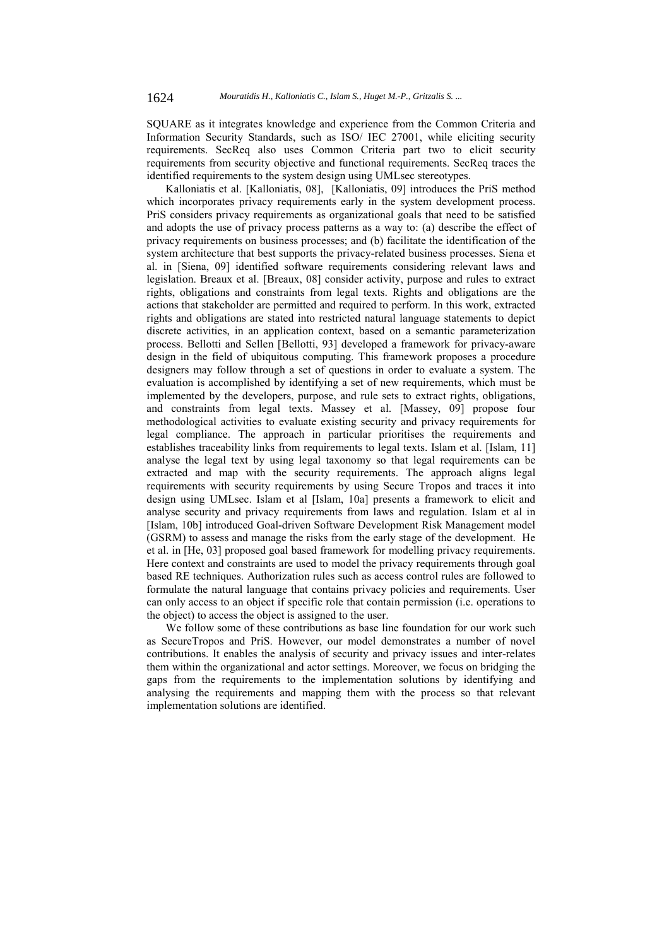SQUARE as it integrates knowledge and experience from the Common Criteria and Information Security Standards, such as ISO/ IEC 27001, while eliciting security requirements. SecReq also uses Common Criteria part two to elicit security requirements from security objective and functional requirements. SecReq traces the identified requirements to the system design using UMLsec stereotypes.

Kalloniatis et al. [Kalloniatis, 08], [Kalloniatis, 09] introduces the PriS method which incorporates privacy requirements early in the system development process. PriS considers privacy requirements as organizational goals that need to be satisfied and adopts the use of privacy process patterns as a way to: (a) describe the effect of privacy requirements on business processes; and (b) facilitate the identification of the system architecture that best supports the privacy-related business processes. Siena et al. in [Siena, 09] identified software requirements considering relevant laws and legislation. Breaux et al. [Breaux, 08] consider activity, purpose and rules to extract rights, obligations and constraints from legal texts. Rights and obligations are the actions that stakeholder are permitted and required to perform. In this work, extracted rights and obligations are stated into restricted natural language statements to depict discrete activities, in an application context, based on a semantic parameterization process. Bellotti and Sellen [Bellotti, 93] developed a framework for privacy-aware design in the field of ubiquitous computing. This framework proposes a procedure designers may follow through a set of questions in order to evaluate a system. The evaluation is accomplished by identifying a set of new requirements, which must be implemented by the developers, purpose, and rule sets to extract rights, obligations, and constraints from legal texts. Massey et al. [Massey, 09] propose four methodological activities to evaluate existing security and privacy requirements for legal compliance. The approach in particular prioritises the requirements and establishes traceability links from requirements to legal texts. Islam et al. [Islam, 11] analyse the legal text by using legal taxonomy so that legal requirements can be extracted and map with the security requirements. The approach aligns legal requirements with security requirements by using Secure Tropos and traces it into design using UMLsec. Islam et al [Islam, 10a] presents a framework to elicit and analyse security and privacy requirements from laws and regulation. Islam et al in [Islam, 10b] introduced Goal-driven Software Development Risk Management model (GSRM) to assess and manage the risks from the early stage of the development. He et al. in [He, 03] proposed goal based framework for modelling privacy requirements. Here context and constraints are used to model the privacy requirements through goal based RE techniques. Authorization rules such as access control rules are followed to formulate the natural language that contains privacy policies and requirements. User can only access to an object if specific role that contain permission (i.e. operations to the object) to access the object is assigned to the user.

We follow some of these contributions as base line foundation for our work such as SecureTropos and PriS. However, our model demonstrates a number of novel contributions. It enables the analysis of security and privacy issues and inter-relates them within the organizational and actor settings. Moreover, we focus on bridging the gaps from the requirements to the implementation solutions by identifying and analysing the requirements and mapping them with the process so that relevant implementation solutions are identified.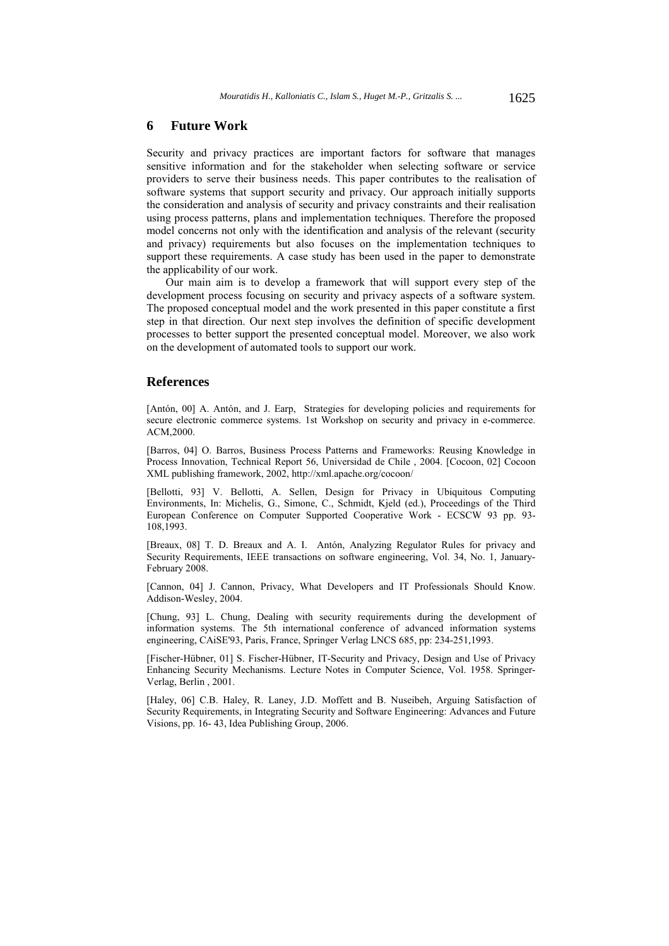## **6 Future Work**

Security and privacy practices are important factors for software that manages sensitive information and for the stakeholder when selecting software or service providers to serve their business needs. This paper contributes to the realisation of software systems that support security and privacy. Our approach initially supports the consideration and analysis of security and privacy constraints and their realisation using process patterns, plans and implementation techniques. Therefore the proposed model concerns not only with the identification and analysis of the relevant (security and privacy) requirements but also focuses on the implementation techniques to support these requirements. A case study has been used in the paper to demonstrate the applicability of our work.

Our main aim is to develop a framework that will support every step of the development process focusing on security and privacy aspects of a software system. The proposed conceptual model and the work presented in this paper constitute a first step in that direction. Our next step involves the definition of specific development processes to better support the presented conceptual model. Moreover, we also work on the development of automated tools to support our work.

### **References**

[Antón, 00] A. Antón, and J. Earp, Strategies for developing policies and requirements for secure electronic commerce systems. 1st Workshop on security and privacy in e-commerce. ACM,2000.

[Barros, 04] O. Barros, Business Process Patterns and Frameworks: Reusing Knowledge in Process Innovation, Technical Report 56, Universidad de Chile , 2004. [Cocoon, 02] Cocoon XML publishing framework, 2002, http://xml.apache.org/cocoon/

[Bellotti, 93] V. Bellotti, A. Sellen, Design for Privacy in Ubiquitous Computing Environments, In: Michelis, G., Simone, C., Schmidt, Kjeld (ed.), Proceedings of the Third European Conference on Computer Supported Cooperative Work - ECSCW 93 pp. 93- 108,1993.

[Breaux, 08] T. D. Breaux and A. I. Antón, Analyzing Regulator Rules for privacy and Security Requirements, IEEE transactions on software engineering, Vol. 34, No. 1, January-February 2008.

[Cannon, 04] J. Cannon, Privacy, What Developers and IT Professionals Should Know. Addison-Wesley, 2004.

[Chung, 93] L. Chung, Dealing with security requirements during the development of information systems. The 5th international conference of advanced information systems engineering, CAiSE'93, Paris, France, Springer Verlag LNCS 685, pp: 234-251,1993.

[Fischer-Hübner, 01] S. Fischer-Hübner, IT-Security and Privacy, Design and Use of Privacy Enhancing Security Mechanisms. Lecture Notes in Computer Science, Vol. 1958. Springer-Verlag, Berlin , 2001.

[Haley, 06] C.B. Haley, R. Laney, J.D. Moffett and B. Nuseibeh, Arguing Satisfaction of Security Requirements, in Integrating Security and Software Engineering: Advances and Future Visions, pp. 16- 43, Idea Publishing Group, 2006.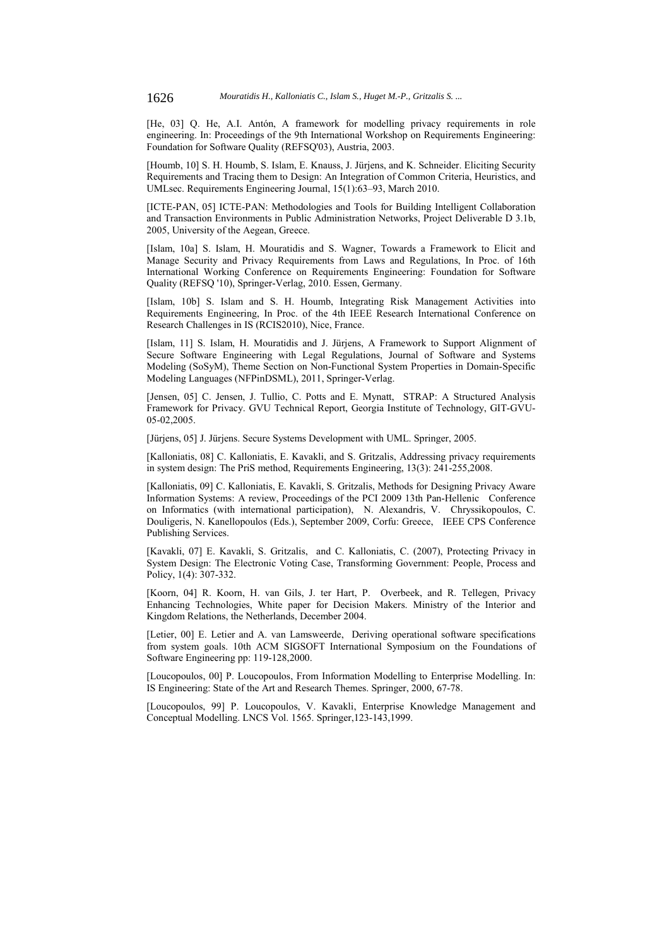[He, 03] Q. He, A.I. Antón, A framework for modelling privacy requirements in role engineering. In: Proceedings of the 9th International Workshop on Requirements Engineering: Foundation for Software Quality (REFSQ'03), Austria, 2003.

[Houmb, 10] S. H. Houmb, S. Islam, E. Knauss, J. Jürjens, and K. Schneider. Eliciting Security Requirements and Tracing them to Design: An Integration of Common Criteria, Heuristics, and UMLsec. Requirements Engineering Journal, 15(1):63–93, March 2010.

[ICTE-PAN, 05] ICTE-PAN: Methodologies and Tools for Building Intelligent Collaboration and Transaction Environments in Public Administration Networks, Project Deliverable D 3.1b, 2005, University of the Aegean, Greece.

[Islam, 10a] S. Islam, H. Mouratidis and S. Wagner, Towards a Framework to Elicit and Manage Security and Privacy Requirements from Laws and Regulations, In Proc. of 16th International Working Conference on Requirements Engineering: Foundation for Software Quality (REFSQ '10), Springer-Verlag, 2010. Essen, Germany.

[Islam, 10b] S. Islam and S. H. Houmb, Integrating Risk Management Activities into Requirements Engineering, In Proc. of the 4th IEEE Research International Conference on Research Challenges in IS (RCIS2010), Nice, France.

[Islam, 11] S. Islam, H. Mouratidis and J. Jürjens, A Framework to Support Alignment of Secure Software Engineering with Legal Regulations, Journal of Software and Systems Modeling (SoSyM), Theme Section on Non-Functional System Properties in Domain-Specific Modeling Languages (NFPinDSML), 2011, Springer-Verlag.

[Jensen, 05] C. Jensen, J. Tullio, C. Potts and E. Mynatt, STRAP: A Structured Analysis Framework for Privacy. GVU Technical Report, Georgia Institute of Technology, GIT-GVU-05-02,2005.

[Jürjens, 05] J. Jürjens. Secure Systems Development with UML. Springer, 2005.

[Kalloniatis, 08] C. Kalloniatis, E. Kavakli, and S. Gritzalis, Addressing privacy requirements in system design: The PriS method, Requirements Engineering, 13(3): 241-255,2008.

[Kalloniatis, 09] C. Kalloniatis, E. Kavakli, S. Gritzalis, Methods for Designing Privacy Aware Information Systems: A review, Proceedings of the PCI 2009 13th Pan-Hellenic Conference on Informatics (with international participation), N. Alexandris, V. Chryssikopoulos, C. Douligeris, N. Kanellopoulos (Eds.), September 2009, Corfu: Greece, IEEE CPS Conference Publishing Services.

[Kavakli, 07] E. Kavakli, S. Gritzalis, and C. Kalloniatis, C. (2007), Protecting Privacy in System Design: The Electronic Voting Case, Transforming Government: People, Process and Policy, 1(4): 307-332.

[Koorn, 04] R. Koorn, H. van Gils, J. ter Hart, P. Overbeek, and R. Tellegen, Privacy Enhancing Technologies, White paper for Decision Makers. Ministry of the Interior and Kingdom Relations, the Netherlands, December 2004.

[Letier, 00] E. Letier and A. van Lamsweerde, Deriving operational software specifications from system goals. 10th ACM SIGSOFT International Symposium on the Foundations of Software Engineering pp: 119-128,2000.

[Loucopoulos, 00] P. Loucopoulos, From Information Modelling to Enterprise Modelling. In: IS Engineering: State of the Art and Research Themes. Springer, 2000, 67-78.

[Loucopoulos, 99] P. Loucopoulos, V. Kavakli, Enterprise Knowledge Management and Conceptual Modelling. LNCS Vol. 1565. Springer,123-143,1999.